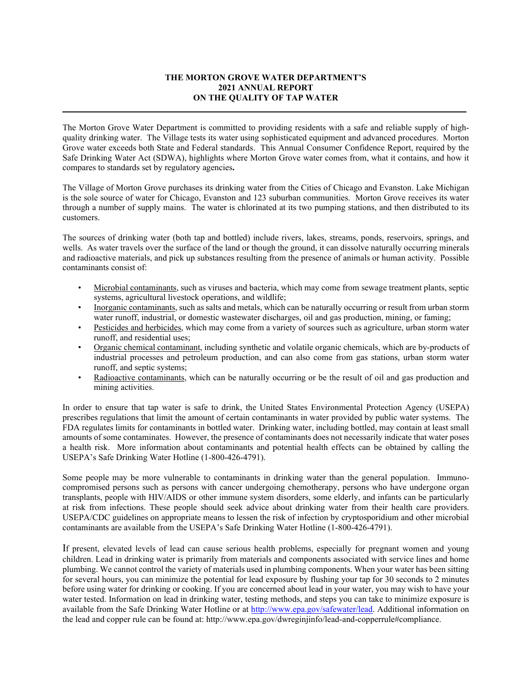# **THE MORTON GROVE WATER DEPARTMENT'S 2021 ANNUAL REPORT ON THE QUALITY OF TAP WATER**

**\_\_\_\_\_\_\_\_\_\_\_\_\_\_\_\_\_\_\_\_\_\_\_\_\_\_\_\_\_\_\_\_\_\_\_\_\_\_\_\_\_\_\_\_\_\_\_\_\_\_\_\_\_\_\_\_\_\_\_\_\_\_\_\_\_\_\_\_\_\_\_\_\_\_\_\_\_\_\_\_\_\_\_\_\_\_\_\_\_\_\_\_\_**

The Morton Grove Water Department is committed to providing residents with a safe and reliable supply of highquality drinking water. The Village tests its water using sophisticated equipment and advanced procedures. Morton Grove water exceeds both State and Federal standards. This Annual Consumer Confidence Report, required by the Safe Drinking Water Act (SDWA), highlights where Morton Grove water comes from, what it contains, and how it compares to standards set by regulatory agencies**.** 

The Village of Morton Grove purchases its drinking water from the Cities of Chicago and Evanston. Lake Michigan is the sole source of water for Chicago, Evanston and 123 suburban communities. Morton Grove receives its water through a number of supply mains. The water is chlorinated at its two pumping stations, and then distributed to its customers.

The sources of drinking water (both tap and bottled) include rivers, lakes, streams, ponds, reservoirs, springs, and wells. As water travels over the surface of the land or though the ground, it can dissolve naturally occurring minerals and radioactive materials, and pick up substances resulting from the presence of animals or human activity. Possible contaminants consist of:

- Microbial contaminants, such as viruses and bacteria, which may come from sewage treatment plants, septic systems, agricultural livestock operations, and wildlife;
- Inorganic contaminants, such as salts and metals, which can be naturally occurring or result from urban storm water runoff, industrial, or domestic wastewater discharges, oil and gas production, mining, or faming;
- Pesticides and herbicides, which may come from a variety of sources such as agriculture, urban storm water runoff, and residential uses;
- Organic chemical contaminant, including synthetic and volatile organic chemicals, which are by-products of industrial processes and petroleum production, and can also come from gas stations, urban storm water runoff, and septic systems;
- Radioactive contaminants, which can be naturally occurring or be the result of oil and gas production and mining activities.

In order to ensure that tap water is safe to drink, the United States Environmental Protection Agency (USEPA) prescribes regulations that limit the amount of certain contaminants in water provided by public water systems. The FDA regulates limits for contaminants in bottled water. Drinking water, including bottled, may contain at least small amounts of some contaminates. However, the presence of contaminants does not necessarily indicate that water poses a health risk. More information about contaminants and potential health effects can be obtained by calling the USEPA's Safe Drinking Water Hotline (1-800-426-4791).

Some people may be more vulnerable to contaminants in drinking water than the general population. Immunocompromised persons such as persons with cancer undergoing chemotherapy, persons who have undergone organ transplants, people with HIV/AIDS or other immune system disorders, some elderly, and infants can be particularly at risk from infections. These people should seek advice about drinking water from their health care providers. USEPA/CDC guidelines on appropriate means to lessen the risk of infection by cryptosporidium and other microbial contaminants are available from the USEPA's Safe Drinking Water Hotline (1-800-426-4791).

If present, elevated levels of lead can cause serious health problems, especially for pregnant women and young children. Lead in drinking water is primarily from materials and components associated with service lines and home plumbing. We cannot control the variety of materials used in plumbing components. When your water has been sitting for several hours, you can minimize the potential for lead exposure by flushing your tap for 30 seconds to 2 minutes before using water for drinking or cooking. If you are concerned about lead in your water, you may wish to have your water tested. Information on lead in drinking water, testing methods, and steps you can take to minimize exposure is available from the Safe Drinking Water Hotline or at [http://www.epa.gov/safewater/lead.](http://www.epa.gov/safewater/lead) Additional information on the lead and copper rule can be found at: http://www.epa.gov/dwreginjinfo/lead-and-copperrule#compliance.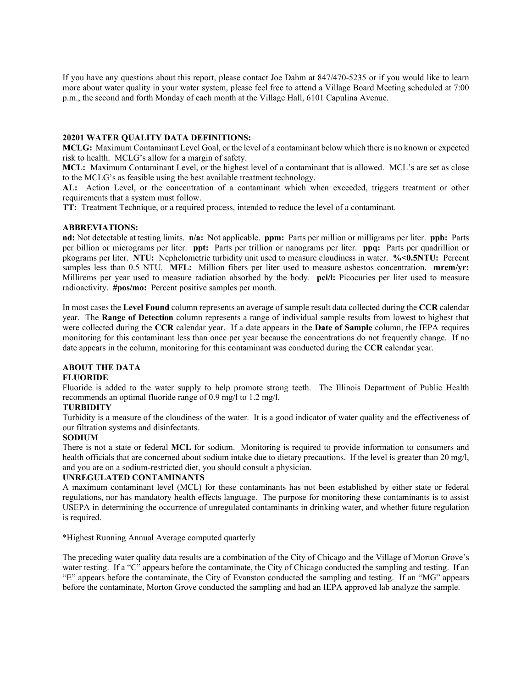If you have any questions about this report, please contact Joe Dahm at 847/470-5235 or if you would like to learn more about water quality in your water system, please feel free to attend a Village Board Meeting scheduled at 7:00 p.m., the second and forth Monday of each month at the Village Hall, 6101 Capulina Avenue.

## **20201 WATER QUALITY DATA DEFINITIONS:**

**MCLG:** Maximum Contaminant Level Goal, or the level of a contaminant below which there is no known or expected risk to health. MCLG's allow for a margin of safety.

**MCL:** Maximum Contaminant Level, or the highest level of a contaminant that is allowed. MCL's are set as close to the MCLG's as feasible using the best available treatment technology.

**AL:** Action Level, or the concentration of a contaminant which when exceeded, triggers treatment or other requirements that a system must follow.

**TT:** Treatment Technique, or a required process, intended to reduce the level of a contaminant.

#### **ABBREVIATIONS:**

**nd:** Not detectable at testing limits. **n/a:** Not applicable. **ppm:** Parts per million or milligrams per liter. **ppb:** Parts per billion or micrograms per liter. **ppt:** Parts per trillion or nanograms per liter. **ppq:** Parts per quadrillion or pkograms per liter. **NTU:** Nephelometric turbidity unit used to measure cloudiness in water. **%<0.5NTU:** Percent samples less than 0.5 NTU. **MFL:** Million fibers per liter used to measure asbestos concentration. **mrem/yr:**  Millirems per year used to measure radiation absorbed by the body. **pci/l:** Picocuries per liter used to measure radioactivity. **#pos/mo:** Percent positive samples per month.

In most cases the **Level Found** column represents an average of sample result data collected during the **CCR** calendar year. The **Range of Detection** column represents a range of individual sample results from lowest to highest that were collected during the **CCR** calendar year. If a date appears in the **Date of Sample** column, the IEPA requires monitoring for this contaminant less than once per year because the concentrations do not frequently change. If no date appears in the column, monitoring for this contaminant was conducted during the **CCR** calendar year.

# **ABOUT THE DATA**

# **FLUORIDE**

Fluoride is added to the water supply to help promote strong teeth. The Illinois Department of Public Health recommends an optimal fluoride range of 0.9 mg/l to 1.2 mg/l.

# **TURBIDITY**

Turbidity is a measure of the cloudiness of the water. It is a good indicator of water quality and the effectiveness of our filtration systems and disinfectants.

### **SODIUM**

There is not a state or federal **MCL** for sodium. Monitoring is required to provide information to consumers and health officials that are concerned about sodium intake due to dietary precautions. If the level is greater than 20 mg/l, and you are on a sodium-restricted diet, you should consult a physician.

### **UNREGULATED CONTAMINANTS**

A maximum contaminant level (MCL) for these contaminants has not been established by either state or federal regulations, nor has mandatory health effects language. The purpose for monitoring these contaminants is to assist USEPA in determining the occurrence of unregulated contaminants in drinking water, and whether future regulation is required.

\*Highest Running Annual Average computed quarterly

The preceding water quality data results are a combination of the City of Chicago and the Village of Morton Grove's water testing. If a "C" appears before the contaminate, the City of Chicago conducted the sampling and testing. If an "E" appears before the contaminate, the City of Evanston conducted the sampling and testing. If an "MG" appears before the contaminate, Morton Grove conducted the sampling and had an IEPA approved lab analyze the sample.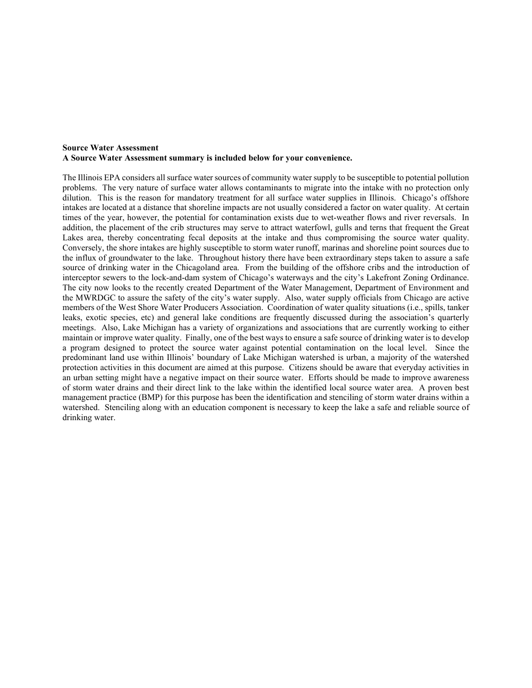## **Source Water Assessment A Source Water Assessment summary is included below for your convenience.**

The Illinois EPA considers all surface water sources of community water supply to be susceptible to potential pollution problems. The very nature of surface water allows contaminants to migrate into the intake with no protection only dilution. This is the reason for mandatory treatment for all surface water supplies in Illinois. Chicago's offshore intakes are located at a distance that shoreline impacts are not usually considered a factor on water quality. At certain times of the year, however, the potential for contamination exists due to wet-weather flows and river reversals. In addition, the placement of the crib structures may serve to attract waterfowl, gulls and terns that frequent the Great Lakes area, thereby concentrating fecal deposits at the intake and thus compromising the source water quality. Conversely, the shore intakes are highly susceptible to storm water runoff, marinas and shoreline point sources due to the influx of groundwater to the lake. Throughout history there have been extraordinary steps taken to assure a safe source of drinking water in the Chicagoland area. From the building of the offshore cribs and the introduction of interceptor sewers to the lock-and-dam system of Chicago's waterways and the city's Lakefront Zoning Ordinance. The city now looks to the recently created Department of the Water Management, Department of Environment and the MWRDGC to assure the safety of the city's water supply. Also, water supply officials from Chicago are active members of the West Shore Water Producers Association. Coordination of water quality situations (i.e., spills, tanker leaks, exotic species, etc) and general lake conditions are frequently discussed during the association's quarterly meetings. Also, Lake Michigan has a variety of organizations and associations that are currently working to either maintain or improve water quality. Finally, one of the best ways to ensure a safe source of drinking water is to develop a program designed to protect the source water against potential contamination on the local level. Since the predominant land use within Illinois' boundary of Lake Michigan watershed is urban, a majority of the watershed protection activities in this document are aimed at this purpose. Citizens should be aware that everyday activities in an urban setting might have a negative impact on their source water. Efforts should be made to improve awareness of storm water drains and their direct link to the lake within the identified local source water area. A proven best management practice (BMP) for this purpose has been the identification and stenciling of storm water drains within a watershed. Stenciling along with an education component is necessary to keep the lake a safe and reliable source of drinking water.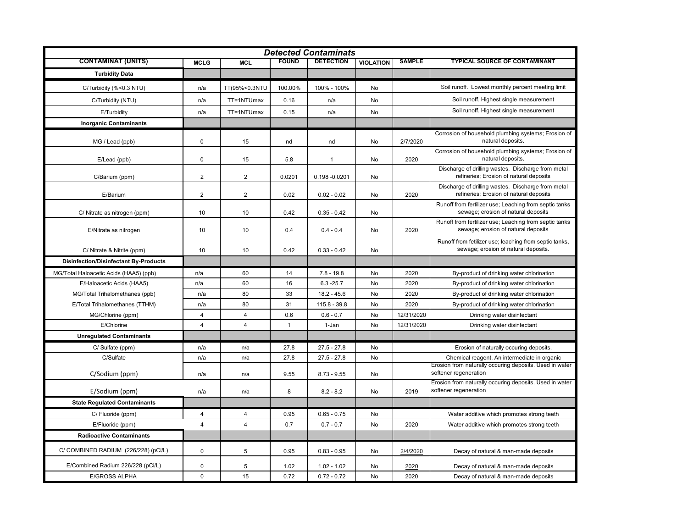| <b>Detected Contaminats</b>                  |                |                         |              |                  |                  |               |                                                                                                |  |  |  |  |
|----------------------------------------------|----------------|-------------------------|--------------|------------------|------------------|---------------|------------------------------------------------------------------------------------------------|--|--|--|--|
| <b>CONTAMINAT (UNITS)</b>                    | <b>MCLG</b>    | <b>MCL</b>              | <b>FOUND</b> | <b>DETECTION</b> | <b>VIOLATION</b> | <b>SAMPLE</b> | <b>TYPICAL SOURCE OF CONTAMINANT</b>                                                           |  |  |  |  |
| <b>Turbidity Data</b>                        |                |                         |              |                  |                  |               |                                                                                                |  |  |  |  |
| C/Turbidity (%<0.3 NTU)                      | n/a            | TT(95%<0.3NTU           | 100.00%      | 100% - 100%      | No               |               | Soil runoff. Lowest monthly percent meeting limit                                              |  |  |  |  |
| C/Turbidity (NTU)                            | n/a            | TT=1NTUmax              | 0.16         | n/a              | No               |               | Soil runoff. Highest single measurement                                                        |  |  |  |  |
| E/Turbidity                                  | n/a            | TT=1NTUmax              | 0.15         | n/a              | No               |               | Soil runoff. Highest single measurement                                                        |  |  |  |  |
| <b>Inorganic Contaminants</b>                |                |                         |              |                  |                  |               |                                                                                                |  |  |  |  |
| MG / Lead (ppb)                              | $\pmb{0}$      | 15                      | nd           | nd               | No               | 2/7/2020      | Corrosion of household plumbing systems; Erosion of<br>natural deposits.                       |  |  |  |  |
| E/Lead (ppb)                                 | $\pmb{0}$      | 15                      | 5.8          | $\mathbf{1}$     | No               | 2020          | Corrosion of household plumbing systems; Erosion of<br>natural deposits.                       |  |  |  |  |
| C/Barium (ppm)                               | $\overline{2}$ | 2                       | 0.0201       | 0.198 -0.0201    | No               |               | Discharge of drilling wastes. Discharge from metal<br>refineries; Erosion of natural deposits  |  |  |  |  |
| E/Barium                                     | $\overline{2}$ | 2                       | 0.02         | $0.02 - 0.02$    | No               | 2020          | Discharge of drilling wastes. Discharge from metal<br>refineries; Erosion of natural deposits  |  |  |  |  |
| C/ Nitrate as nitrogen (ppm)                 | 10             | 10                      | 0.42         | $0.35 - 0.42$    | No               |               | Runoff from fertilizer use; Leaching from septic tanks<br>sewage; erosion of natural deposits  |  |  |  |  |
| E/Nitrate as nitrogen                        | 10             | 10                      | 0.4          | $0.4 - 0.4$      | No               | 2020          | Runoff from fertilizer use; Leaching from septic tanks<br>sewage; erosion of natural deposits  |  |  |  |  |
| C/ Nitrate & Nitrite (ppm)                   | 10             | 10                      | 0.42         | $0.33 - 0.42$    | No               |               | Runoff from fetilizer use; leaching from septic tanks,<br>sewage; erosion of natural deposits. |  |  |  |  |
| <b>Disinfection/Disinfectant By-Products</b> |                |                         |              |                  |                  |               |                                                                                                |  |  |  |  |
| MG/Total Haloacetic Acids (HAA5) (ppb)       | n/a            | 60                      | 14           | $7.8 - 19.8$     | No               | 2020          | By-product of drinking water chlorination                                                      |  |  |  |  |
| E/Haloacetic Acids (HAA5)                    | n/a            | 60                      | 16           | $6.3 - 25.7$     | No               | 2020          | By-product of drinking water chlorination                                                      |  |  |  |  |
| MG/Total Trihalomethanes (ppb)               | n/a            | 80                      | 33           | $18.2 - 45.6$    | No               | 2020          | By-product of drinking water chlorination                                                      |  |  |  |  |
| E/Total Trihalomethanes (TTHM)               | n/a            | 80                      | 31           | $115.8 - 39.8$   | No               | 2020          | By-product of drinking water chlorination                                                      |  |  |  |  |
| MG/Chlorine (ppm)                            | $\overline{4}$ | 4                       | 0.6          | $0.6 - 0.7$      | No               | 12/31/2020    | Drinking water disinfectant                                                                    |  |  |  |  |
| E/Chlorine                                   | $\overline{4}$ | 4                       | $\mathbf{1}$ | 1-Jan            | No               | 12/31/2020    | Drinking water disinfectant                                                                    |  |  |  |  |
| <b>Unregulated Contaminants</b>              |                |                         |              |                  |                  |               |                                                                                                |  |  |  |  |
| C/ Sulfate (ppm)                             | n/a            | n/a                     | 27.8         | $27.5 - 27.8$    | No               |               | Erosion of naturally occuring deposits.                                                        |  |  |  |  |
| C/Sulfate                                    | n/a            | n/a                     | 27.8         | $27.5 - 27.8$    | No               |               | Chemical reagent. An intermediate in organic                                                   |  |  |  |  |
| C/Sodium (ppm)                               | n/a            | n/a                     | 9.55         | $8.73 - 9.55$    | No               |               | Erosion from naturally occuring deposits. Used in water<br>softener regeneration               |  |  |  |  |
| E/Sodium (ppm)                               | n/a            | n/a                     | 8            | $8.2 - 8.2$      | No               | 2019          | Erosion from naturally occuring deposits. Used in water<br>softener regeneration               |  |  |  |  |
| <b>State Regulated Contaminants</b>          |                |                         |              |                  |                  |               |                                                                                                |  |  |  |  |
| C/ Fluoride (ppm)                            | 4              | 4                       | 0.95         | $0.65 - 0.75$    | No               |               | Water additive which promotes strong teeth                                                     |  |  |  |  |
| E/Fluoride (ppm)                             | $\overline{4}$ | $\overline{\mathbf{4}}$ | 0.7          | $0.7 - 0.7$      | No               | 2020          | Water additive which promotes strong teeth                                                     |  |  |  |  |
| <b>Radioactive Contaminants</b>              |                |                         |              |                  |                  |               |                                                                                                |  |  |  |  |
| C/ COMBINED RADIUM (226/228) (pCi/L)         | $\mathbf 0$    | 5                       | 0.95         | $0.83 - 0.95$    | No               | 2/4/2020      | Decay of natural & man-made deposits                                                           |  |  |  |  |
| E/Combined Radium 226/228 (pCi/L)            | $\mathbf 0$    | 5                       | 1.02         | $1.02 - 1.02$    | No               | 2020          | Decay of natural & man-made deposits                                                           |  |  |  |  |
| <b>E/GROSS ALPHA</b>                         | $\mathbf 0$    | 15                      | 0.72         | $0.72 - 0.72$    | No               | 2020          | Decay of natural & man-made deposits                                                           |  |  |  |  |